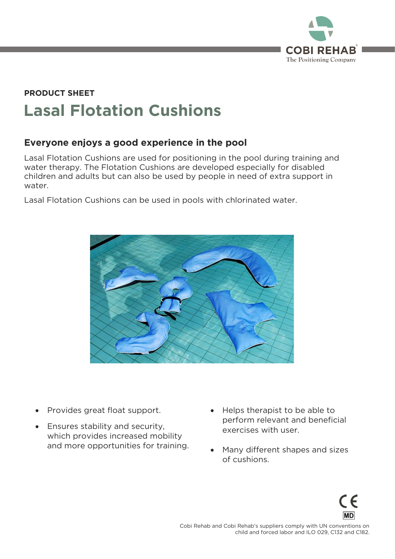

# **PRODUCT SHEET Lasal Flotation Cushions**

# **Everyone enjoys a good experience in the pool**

Lasal Flotation Cushions are used for positioning in the pool during training and water therapy. The Flotation Cushions are developed especially for disabled water the Flotation Cushions are the Flotation Cultum Cultures and an entity for disability for disability for water water.

Lasal Flotation Cushions can be used in pools with chlorinated water.



- Provides great float support.
- Ensures stability and security,<br>which provides increased mobility which provides increased mobility and more opportunities for training.
- Helps therapist to be able to<br>perform relevant and beneficial exercises with user. exercises with user.
- Many different shapes and sizes<br>of cushions. of cushions.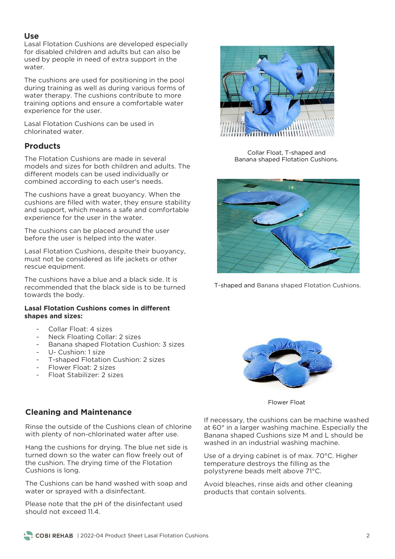**Use**<br>Lasal Flotation Cushions are developed especially for disabled children and adults but can also be used by people in need of extra support in the used by people in the support in the support in the support in the support in the support in the support in the support in the support in the support in the support in the support in the support in the support in the suppo

The cushions are used for positioning in the pool during training as well as during various forms of water therapy. The cushions contribute to more training options and ensure a comfortable water experience for the user. experience for the user.

Lasal Elotation Cushions can be used in chlorinated water.

### **Products**

The Elotation Cushions are made in several models and sizes for both children and adults. The different models can be used individually or different models can be used individually or

The cushions have a great buoyancy. When the cushions are filled with water, they ensure stability and support, which means a safe and comfortable experience for the user in the water. experience for the user in the water.

The cushions can be placed around the user before the user is helped into the water. before the user is helped into the water.

Lasal Flotation Cushions, despite their buoyancy, rescue equipment. rescue equipment.

The cushions have a blue and a black side. It is<br>recommended that the black side is to be turned towards the body. towards the body.

#### **Lasal Flotation Cushions comes in different shapes and sizes:**

- 
- Collar Float: 4 sizes<br>Neck Floating Collar: 2 sizes
- Banana shaped Flotation Cushion: 3 sizes
- U- Cushion: 1 size
- T-shaped Flotation Cushion: 2 sizes
- Flower Float: 2 sizes
- Float Stabilizer: 2 sizes  $\frac{1}{2}$  sizes Stabilizer: 2 sizes  $\frac{1}{2}$



Collar Float, T-shaped and<br>Banana shaped Flotation Cushions. Banana shaped Flotation Cushions.



T-shaped and Banana shaped Flotation Cushions.



Flower Float

#### **Cleaning and Maintenance**

Rinse the outside of the Cushions clean of chlorine with plenty of non-chlorinated water after use. with plenty of non-chlorinated water after use.

Hang the cushions for drying. The blue net side is turned down so the water can flow freely out of the cushion. The drying time of the Flotation Cushions is long. Cushions is long.

The Cushions can be hand washed with soap and water or sprayed with a disinfectant. water or sprayed with a disinfectant.

Please note that the pH of the disinfectant used should not exceed 11.4.

If necessary, the cushions can be machine washed at  $60^\circ$  in a larger washing machine. Especially the Banana shaped Cushions size M and L should be  $B$ anana shaped Cushions shaped  $B$  and  $B$  should be  $B$  and  $B$  should be  $B$  should be  $B$  and  $B$ washed in an industrial washing machine.

Use of a drying cabinet is of max. 70°C. Higher temperature destroys the filling as the polystyrene beads melt above 71°C. polystyrene beads melt above 71°C.

Avoid bleaches, rinse aids and other cleaning<br>products that contain solvents. products that contain solvents.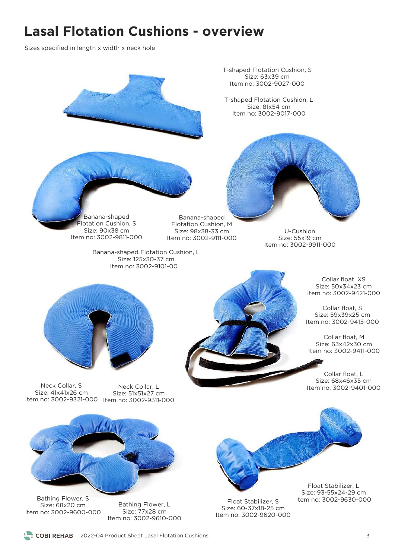# **Lasal Flotation Cushions - overview**

Sizes specified in length x width x neck hole

T-shaped Flotation Cushion, S  $n_0$ : 3002-9027 T-shaped Flotation Cushion, L  $n_0$ : 3002-9017 Banana-shaped<br>Iotation Cushion. S Banana-shaped<br>Flotation Cushion, M  $Size: 90x38$   $cm$ Size: 98x38-33 cm U-Cushion<br>Size: 55x19 cm Item no: 3002-9811-000 Item no: 3002-9111-000 Item no: 3002-9911-000 Banana-shaped Flotation Cushion, L Item no: 3002-9101-00 Collar float, XS<br>Size: 50x34x23 cm Item no: 3002-9421-000 Collar float, S. Size: 59x39x25 cm  $m \text{ no: } 3002 - 9415 - 0$ Collar float, M<br>Size: 63x42x30 cm Item no: 3002-9411-000 Item no: 3002-9411-000 Collar float, L<br>Size: 68x46x35 cm Item no: 3002-9401-000 Neck Collar, Later Collar, Superintendial Collary, Collary, Collary, Collary, Collary, Collary, Collary, Colla<br>Neck Collar, Superintendial Collary, Collary, Collary, Collary, Collary, Collary, Collary, Collary, Collary, C  $n \text{ no: } 3002 - 9321 - C$ size: 5116112.<br>m.no: 3002-9311-0 Float Stabilizer, L<br>Size: 93-55x24-29 cm Bathing Flower, S<br>Size: 68x20 cm Item no: 3002-9630-000 Float Stabilizer, S<br>Size: 60-37x18-25 cm Bathing Flower, L<br>Size: 77x28 cm  $no: 3002 - 9600$ 

Item no: 3002-9620-000

| 2022-04 Product Sheet Lasal Flotation Cushions 3

Item no: 3002-9610-000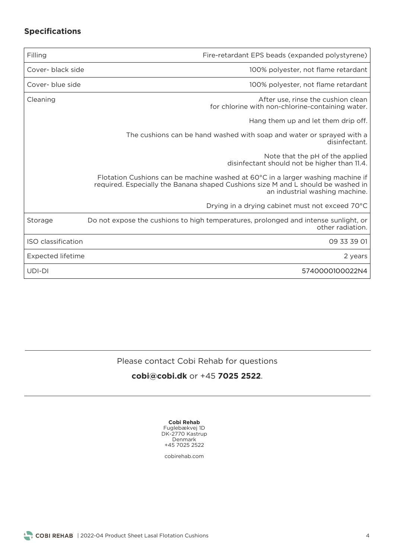# **Specifications**

| Filling            | Fire-retardant EPS beads (expanded polystyrene)                                                                                                                                                       |
|--------------------|-------------------------------------------------------------------------------------------------------------------------------------------------------------------------------------------------------|
| Cover- black side  | 100% polyester, not flame retardant                                                                                                                                                                   |
| Cover- blue side   | 100% polyester, not flame retardant                                                                                                                                                                   |
| Cleaning           | After use, rinse the cushion clean<br>for chlorine with non-chlorine-containing water.                                                                                                                |
|                    | Hang them up and let them drip off.                                                                                                                                                                   |
|                    | The cushions can be hand washed with soap and water or sprayed with a<br>disinfectant.                                                                                                                |
|                    | Note that the pH of the applied<br>disinfectant should not be higher than 11.4.                                                                                                                       |
|                    | Flotation Cushions can be machine washed at 60°C in a larger washing machine if<br>required. Especially the Banana shaped Cushions size M and L should be washed in<br>an industrial washing machine. |
|                    | Drying in a drying cabinet must not exceed 70°C                                                                                                                                                       |
| Storage            | Do not expose the cushions to high temperatures, prolonged and intense sunlight, or<br>other radiation.                                                                                               |
| ISO classification | 09 33 39 01                                                                                                                                                                                           |
| Expected lifetime  | 2 years                                                                                                                                                                                               |
| UDI-DI             | 5740000100022N4                                                                                                                                                                                       |

Please contact Cobi Rehab for questions

## **[cobi@cobi.dk](mailto:cobi@cobi.dk)** or +45 **7025 2522**.

| Cobi Rehab      |  |  |  |  |  |  |
|-----------------|--|--|--|--|--|--|
| Fuglebækvej 1D  |  |  |  |  |  |  |
| DK-2770 Kastrup |  |  |  |  |  |  |
| Denmark         |  |  |  |  |  |  |
| +45 7025 2522   |  |  |  |  |  |  |

cobirehab.com